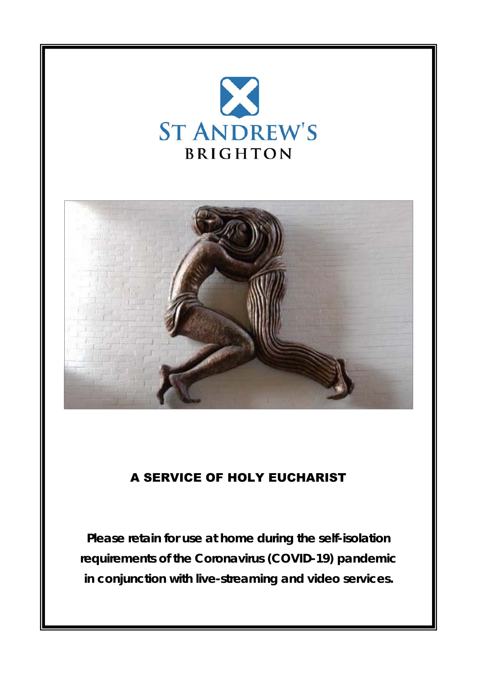

## A SERVICE OF HOLY EUCHARIST

**Please retain for use at home during the self-isolation requirements of the Coronavirus (COVID-19) pandemic in conjunction with live-streaming and video services.**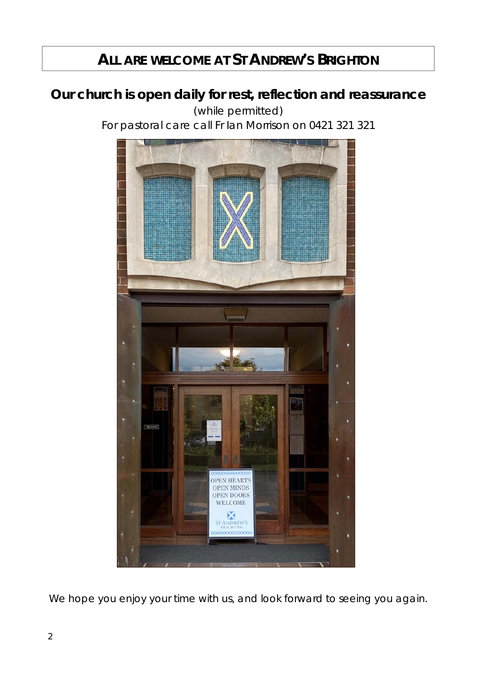# **ALL ARE WELCOME AT ST ANDREW'S BRIGHTON**

## **Our church is open daily for rest, reflection and reassurance**

(while permitted) For pastoral care call Fr Ian Morrison on 0421 321 321



We hope you enjoy your time with us, and look forward to seeing you again.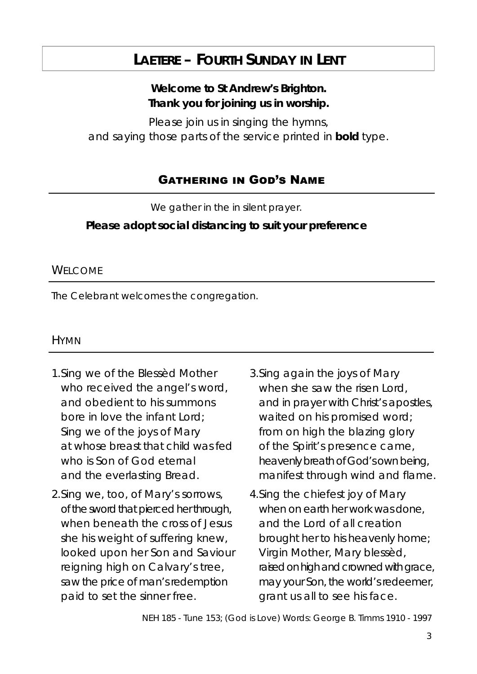# **LAETERE – FOURTH SUNDAY IN LENT**

## **Welcome to St Andrew's Brighton. Thank you for joining us in worship.**

*Please join us in singing the hymns, and saying those parts of the service printed in bold type.* 

## **GATHERING IN GOD'S NAME**

*We gather in the in silent prayer.* 

*Please adopt social distancing to suit your preference* 

## **WELCOME**

*The Celebrant welcomes the congregation.* 

## HYMN

- 1. Sing we of the Blessèd Mother who received the angel's word, and obedient to his summons bore in love the infant Lord; Sing we of the joys of Mary at whose breast that child was fed who is Son of God eternal and the everlasting Bread.
- 2. Sing we, too, of Mary's sorrows, of the sword that pierced her through, when beneath the cross of Jesus she his weight of suffering knew, looked upon her Son and Saviour reigning high on Calvary's tree, saw the price of man's redemption paid to set the sinner free.
- 3. Sing again the joys of Mary when she saw the risen Lord, and in prayer with Christ's apostles, waited on his promised word; from on high the blazing glory of the Spirit's presence came, heavenly breath of God's own being, manifest through wind and flame.
- 4. Sing the chiefest joy of Mary when on earth her work was done, and the Lord of all creation brought her to his heavenly home; Virgin Mother, Mary blessèd, raised on high and crowned with grace, may your Son, the world's redeemer, grant us all to see his face.

NEH 185 - Tune 153; *(God is Love)* Words: George B. Timms 1910 - 1997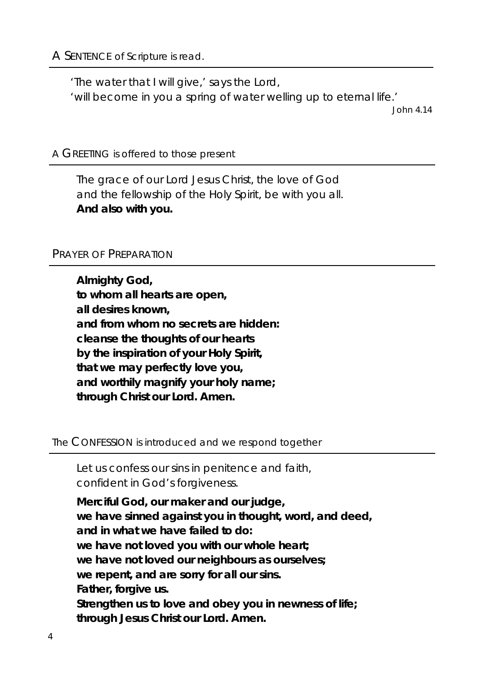'The water that I will give,' says the Lord, 'will become in you a spring of water welling up to eternal life.'

John 4.14

A GREETING is offered to those present

The grace of our Lord Jesus Christ, the love of God and the fellowship of the Holy Spirit, be with you all. **And also with you.** 

#### PRAYER OF PREPARATION

**Almighty God, to whom all hearts are open, all desires known, and from whom no secrets are hidden: cleanse the thoughts of our hearts by the inspiration of your Holy Spirit, that we may perfectly love you, and worthily magnify your holy name; through Christ our Lord. Amen.** 

#### The CONFESSION is introduced and we respond together

Let us confess our sins in penitence and faith, confident in God's forgiveness.

**Merciful God, our maker and our judge, we have sinned against you in thought, word, and deed, and in what we have failed to do: we have not loved you with our whole heart; we have not loved our neighbours as ourselves; we repent, and are sorry for all our sins. Father, forgive us. Strengthen us to love and obey you in newness of life; through Jesus Christ our Lord. Amen.**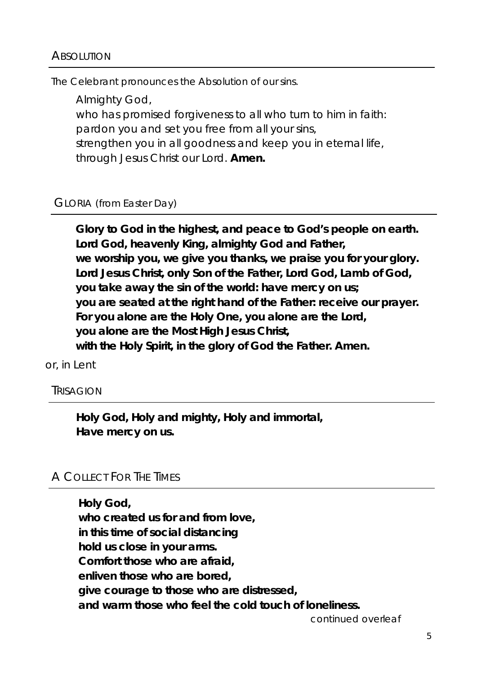*The Celebrant pronounces the Absolution of our sins.* 

Almighty God, who has promised forgiveness to all who turn to him in faith: pardon you and set you free from all your sins, strengthen you in all goodness and keep you in eternal life, through Jesus Christ our Lord. **Amen.** 

## GLORIA *(from Easter Day)*

**Glory to God in the highest, and peace to God's people on earth. Lord God, heavenly King, almighty God and Father, we worship you, we give you thanks, we praise you for your glory. Lord Jesus Christ, only Son of the Father, Lord God, Lamb of God, you take away the sin of the world: have mercy on us; you are seated at the right hand of the Father: receive our prayer. For you alone are the Holy One, you alone are the Lord, you alone are the Most High Jesus Christ, with the Holy Spirit, in the glory of God the Father. Amen.**

*or, in Lent* 

#### TRISAGION

 **Holy God, Holy and mighty, Holy and immortal, Have mercy on us.** 

## A COLLECT FOR THE TIMES

**Holy God, who created us for and from love, in this time of social distancing hold us close in your arms. Comfort those who are afraid, enliven those who are bored, give courage to those who are distressed, and warm those who feel the cold touch of loneliness.** 

 *continued overleaf*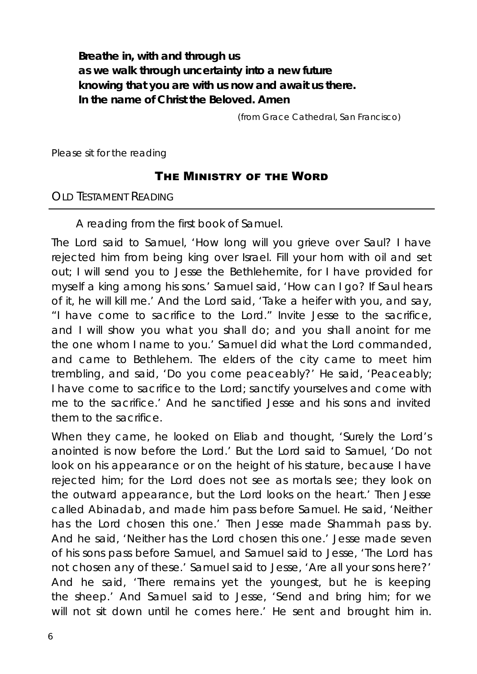**Breathe in, with and through us as we walk through uncertainty into a new future knowing that you are with us now and await us there. In the name of Christ the Beloved. Amen** 

 *(from Grace Cathedral, San Francisco)* 

*Please sit for the reading* 

#### THE MINISTRY OF THE WORD

OLD TESTAMENT READING

A reading from the first book of Samuel.

The Lord said to Samuel, 'How long will you grieve over Saul? I have rejected him from being king over Israel. Fill your horn with oil and set out; I will send you to Jesse the Bethlehemite, for I have provided for myself a king among his sons.' Samuel said, 'How can I go? If Saul hears of it, he will kill me.' And the Lord said, 'Take a heifer with you, and say, "I have come to sacrifice to the Lord." Invite Jesse to the sacrifice, and I will show you what you shall do; and you shall anoint for me the one whom I name to you.' Samuel did what the Lord commanded, and came to Bethlehem. The elders of the city came to meet him trembling, and said, 'Do you come peaceably?' He said, 'Peaceably; I have come to sacrifice to the Lord; sanctify yourselves and come with me to the sacrifice.' And he sanctified Jesse and his sons and invited them to the sacrifice.

When they came, he looked on Eliab and thought, 'Surely the Lord's anointed is now before the Lord.' But the Lord said to Samuel, 'Do not look on his appearance or on the height of his stature, because I have rejected him; for the Lord does not see as mortals see; they look on the outward appearance, but the Lord looks on the heart.' Then Jesse called Abinadab, and made him pass before Samuel. He said, 'Neither has the Lord chosen this one.' Then Jesse made Shammah pass by. And he said, 'Neither has the Lord chosen this one.' Jesse made seven of his sons pass before Samuel, and Samuel said to Jesse, 'The Lord has not chosen any of these.' Samuel said to Jesse, 'Are all your sons here?' And he said, 'There remains yet the youngest, but he is keeping the sheep.' And Samuel said to Jesse, 'Send and bring him; for we will not sit down until he comes here.' He sent and brought him in.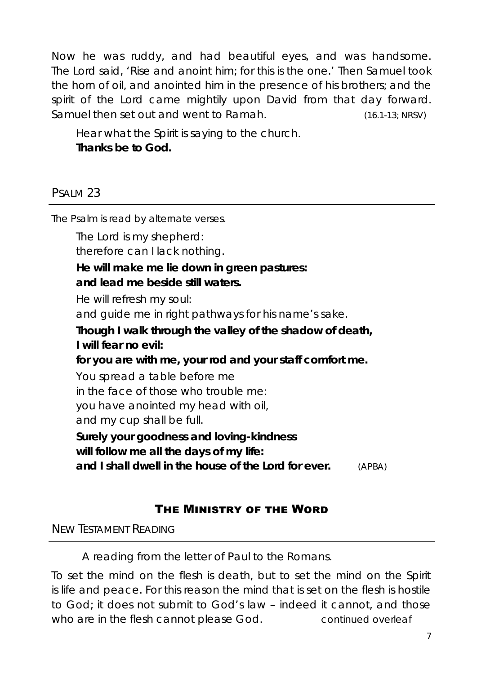Now he was ruddy, and had beautiful eyes, and was handsome. The Lord said, 'Rise and anoint him; for this is the one.' Then Samuel took the horn of oil, and anointed him in the presence of his brothers; and the spirit of the Lord came mightily upon David from that day forward. Samuel then set out and went to Ramah. (16.1-13; NRSV)

Hear what the Spirit is saying to the church. **Thanks be to God.** 

## PSALM 23

*The Psalm is read by alternate verses.*  The Lord is my shepherd: therefore can I lack nothing. **He will make me lie down in green pastures: and lead me beside still waters.**  He will refresh my soul: and guide me in right pathways for his name's sake. **Though I walk through the valley of the shadow of death, I will fear no evil: for you are with me, your rod and your staff comfort me.**  You spread a table before me in the face of those who trouble me: you have anointed my head with oil, and my cup shall be full. **Surely your goodness and loving-kindness will follow me all the days of my life: and I shall dwell in the house of the Lord for ever.** (APBA)

## THE MINISTRY OF THE WORD

NEW TESTAMENT READING

A reading from the letter of Paul to the Romans.

To set the mind on the flesh is death, but to set the mind on the Spirit is life and peace. For this reason the mind that is set on the flesh is hostile to God; it does not submit to God's law – indeed it cannot, and those who are in the flesh cannot please God. *continued overleaf*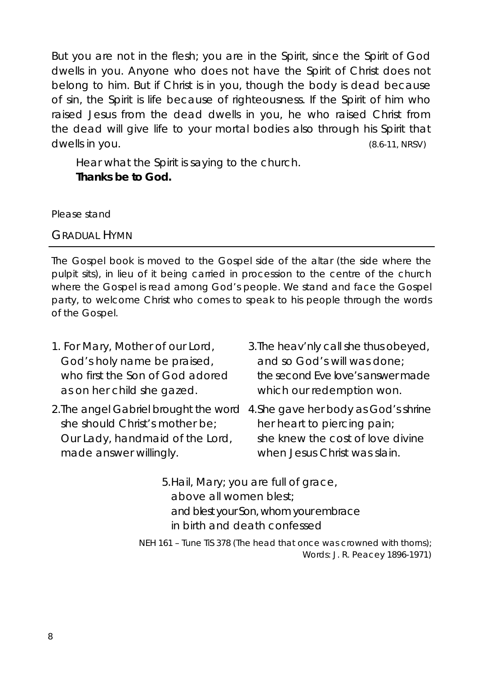But you are not in the flesh; you are in the Spirit, since the Spirit of God dwells in you. Anyone who does not have the Spirit of Christ does not belong to him. But if Christ is in you, though the body is dead because of sin, the Spirit is life because of righteousness. If the Spirit of him who raised Jesus from the dead dwells in you, he who raised Christ from the dead will give life to your mortal bodies also through his Spirit that dwells in you. (8.6-11, NRSV)

Hear what the Spirit is saying to the church. **Thanks be to God.** 

#### *Please stand*

GRADUAL HYMN

The Gospel book is moved to the Gospel side of the altar (the side where the *pulpit sits), in lieu of it being carried in procession to the centre of the church*  where the Gospel is read among God's people. We stand and face the Gospel *party, to welcome Christ who comes to speak to his people through the words of the Gospel.* 

- 1. For Mary, Mother of our Lord, God's holy name be praised, who first the Son of God adored as on her child she gazed.
- she should Christ's mother be; Our Lady, handmaid of the Lord, made answer willingly.
- 3. The heav'nly call she thus obeyed, and so God's will was done; the second Eve love's answer made which our redemption won.
- 2. The angel Gabriel brought the word 4. She gave her body as God's shrine her heart to piercing pain; she knew the cost of love divine when Jesus Christ was slain.

5. Hail, Mary; you are full of grace, above all women blest; and blest your Son, whom your embrace in birth and death confessed

NEH 161 – Tune TiS 378 *(The head that once was crowned with thorns);* Words: J. R. Peacey 1896-1971)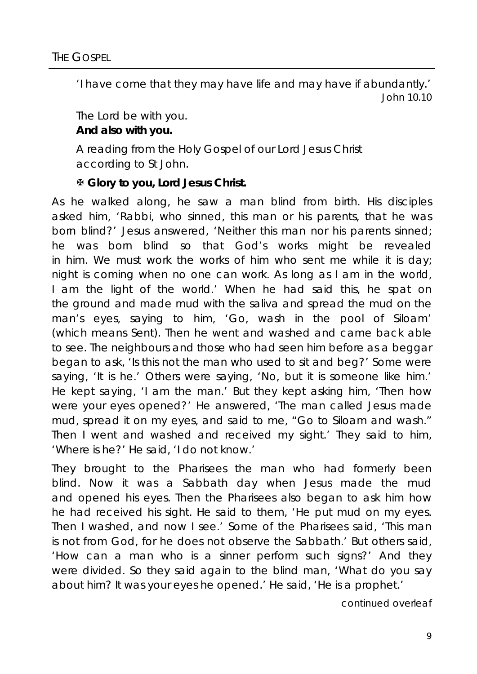'I have come that they may have life and may have if abundantly.' *John 10.10* 

The Lord be with you.

## **And also with you.**

A reading from the Holy Gospel of our Lord Jesus Christ according to St John.

## **Glory to you, Lord Jesus Christ.**

As he walked along, he saw a man blind from birth. His disciples asked him, 'Rabbi, who sinned, this man or his parents, that he was born blind?' Jesus answered, 'Neither this man nor his parents sinned; he was born blind so that God's works might be revealed in him. We must work the works of him who sent me while it is day; night is coming when no one can work. As long as I am in the world, I am the light of the world.' When he had said this, he spat on the ground and made mud with the saliva and spread the mud on the man's eyes, saying to him, 'Go, wash in the pool of Siloam' (which means Sent). Then he went and washed and came back able to see. The neighbours and those who had seen him before as a beggar began to ask, 'Is this not the man who used to sit and beg?' Some were saying, 'It is he.' Others were saying, 'No, but it is someone like him.' He kept saying, 'I am the man.' But they kept asking him, 'Then how were your eyes opened?' He answered, 'The man called Jesus made mud, spread it on my eyes, and said to me, "Go to Siloam and wash." Then I went and washed and received my sight.' They said to him, 'Where is he?' He said, 'I do not know.'

They brought to the Pharisees the man who had formerly been blind. Now it was a Sabbath day when Jesus made the mud and opened his eyes. Then the Pharisees also began to ask him how he had received his sight. He said to them, 'He put mud on my eyes. Then I washed, and now I see.' Some of the Pharisees said, 'This man is not from God, for he does not observe the Sabbath.' But others said, 'How can a man who is a sinner perform such signs?' And they were divided. So they said again to the blind man, 'What do you say about him? It was your eyes he opened.' He said, 'He is a prophet.'

*continued overleaf*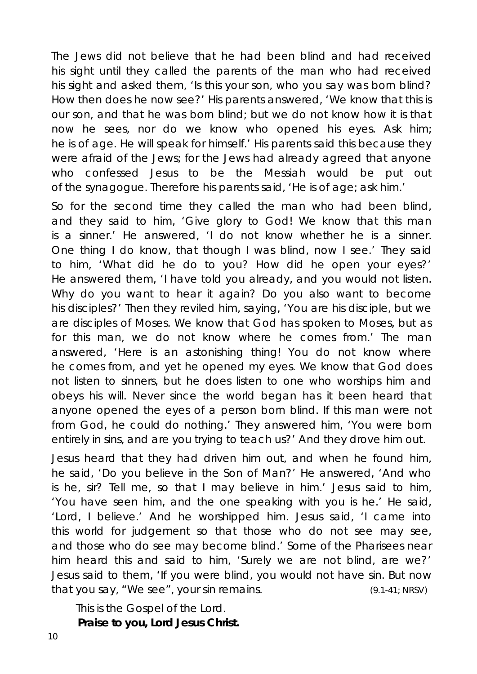The Jews did not believe that he had been blind and had received his sight until they called the parents of the man who had received his sight and asked them, 'Is this your son, who you say was born blind? How then does he now see?' His parents answered, 'We know that this is our son, and that he was born blind; but we do not know how it is that now he sees, nor do we know who opened his eyes. Ask him; he is of age. He will speak for himself.' His parents said this because they were afraid of the Jews; for the Jews had already agreed that anyone who confessed Jesus to be the Messiah would be put out of the synagogue. Therefore his parents said, 'He is of age; ask him.'

So for the second time they called the man who had been blind, and they said to him, 'Give glory to God! We know that this man is a sinner.' He answered, 'I do not know whether he is a sinner. One thing I do know, that though I was blind, now I see.' They said to him, 'What did he do to you? How did he open your eyes?' He answered them, 'I have told you already, and you would not listen. Why do you want to hear it again? Do you also want to become his disciples?' Then they reviled him, saying, 'You are his disciple, but we are disciples of Moses. We know that God has spoken to Moses, but as for this man, we do not know where he comes from.' The man answered, 'Here is an astonishing thing! You do not know where he comes from, and yet he opened my eyes. We know that God does not listen to sinners, but he does listen to one who worships him and obeys his will. Never since the world began has it been heard that anyone opened the eyes of a person born blind. If this man were not from God, he could do nothing.' They answered him, 'You were born entirely in sins, and are you trying to teach us?' And they drove him out.

Jesus heard that they had driven him out, and when he found him, he said, 'Do you believe in the Son of Man?' He answered, 'And who is he, sir? Tell me, so that I may believe in him.' Jesus said to him, 'You have seen him, and the one speaking with you is he.' He said, 'Lord, I believe.' And he worshipped him. Jesus said, 'I came into this world for judgement so that those who do not see may see, and those who do see may become blind.' Some of the Pharisees near him heard this and said to him, 'Surely we are not blind, are we?' Jesus said to them, 'If you were blind, you would not have sin. But now that you say, "We see", your sin remains. (9.1-41; NRSV)

This is the Gospel of the Lord. **Praise to you, Lord Jesus Christ.**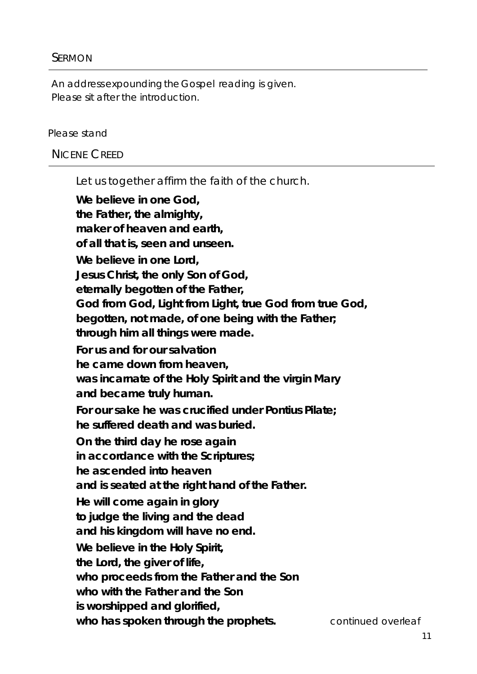#### **SERMON**

*An address expounding the Gospel reading is given. Please sit after the introduction.* 

#### *Please stand*

NICENE CREED

Let us together affirm the faith of the church.

**We believe in one God, the Father, the almighty, maker of heaven and earth, of all that is, seen and unseen. We believe in one Lord, Jesus Christ, the only Son of God, eternally begotten of the Father, God from God, Light from Light, true God from true God, begotten, not made, of one being with the Father; through him all things were made.**  *For us and for our salvation he came down from heaven, was incarnate of the Holy Spirit and the virgin Mary and became truly human.* **For our sake he was crucified under Pontius Pilate; he suffered death and was buried. On the third day he rose again in accordance with the Scriptures; he ascended into heaven and is seated at the right hand of the Father. He will come again in glory to judge the living and the dead and his kingdom will have no end. We believe in the Holy Spirit, the Lord, the giver of life, who proceeds from the Father and the Son who with the Father and the Son is worshipped and glorified, who has spoken through the prophets.** *continued overleaf*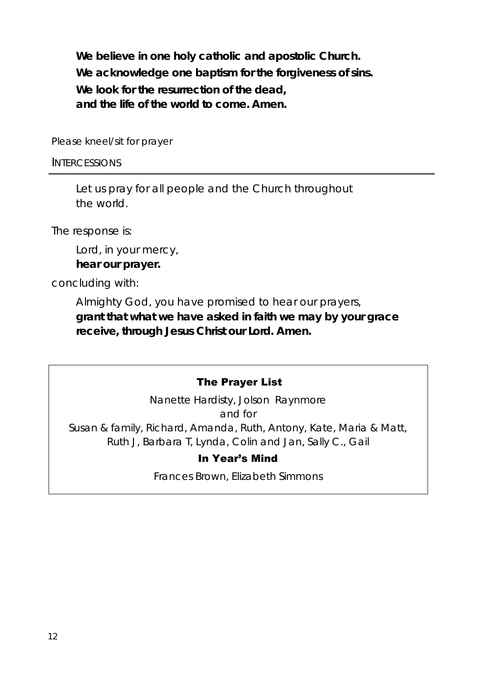**We believe in one holy catholic and apostolic Church. We acknowledge one baptism for the forgiveness of sins. We look for the resurrection of the dead, and the life of the world to come. Amen.** 

*Please kneel/sit for prayer* 

#### **INTERCESSIONS**

Let us pray for all people and the Church throughout the world.

*The response is:* 

Lord, in your mercy,

**hear our prayer.** 

*concluding with:* 

Almighty God, you have promised to hear our prayers, **grant that what we have asked in faith we may by your grace receive, through Jesus Christ our Lord. Amen.** 

#### The Prayer List

Nanette Hardisty, Jolson Raynmore and for Susan & family, Richard, Amanda, Ruth, Antony, Kate, Maria & Matt,

Ruth J, Barbara T, Lynda, Colin and Jan, Sally C., Gail

#### In Year's Mind

Frances Brown, Elizabeth Simmons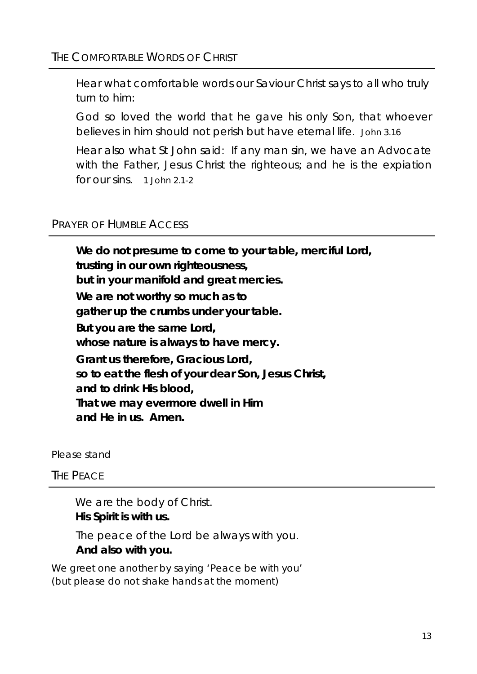### THE COMFORTABLE WORDS OF CHRIST

Hear what comfortable words our Saviour Christ says to all who truly turn to him:

God so loved the world that he gave his only Son, that whoever believes in him should not perish but have eternal life. John 3.16

Hear also what St John said: If any man sin, we have an Advocate with the Father, Jesus Christ the righteous; and he is the expiation for our sins. 1 John 2.1-2

#### PRAYER OF HUMBLE ACCESS

**We do not presume to come to your table, merciful Lord, trusting in our own righteousness, but in your manifold and great mercies. We are not worthy so much as to gather up the crumbs under your table. But you are the same Lord, whose nature is always to have mercy. Grant us therefore, Gracious Lord, so to eat the flesh of your dear Son, Jesus Christ, and to drink His blood, That we may evermore dwell in Him and He in us. Amen.** 

*Please stand* 

THE PEACE

We are the body of Christ. **His Spirit is with us.** 

The peace of the Lord be always with you. **And also with you.** 

*We greet one another by saying 'Peace be with you' (but please do not shake hands at the moment)*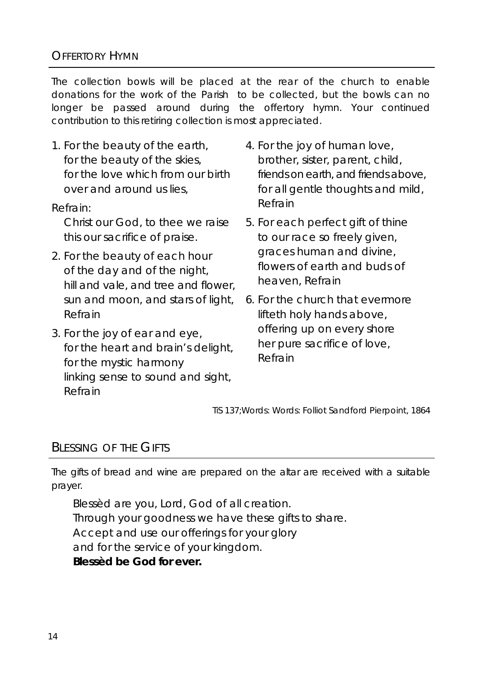## OFFERTORY HYMN

The collection bowls will be placed at the rear of the church to enable *donations for the work of the Parish to be collected, but the bowls can no*  longer be passed around during the offertory hymn. Your continued *contribution to this retiring collection is most appreciated.* 

1. For the beauty of the earth, for the beauty of the skies, for the love which from our birth over and around us lies,

#### *Refrain:*

Christ our God, to thee we raise this our sacrifice of praise.

- 2. For the beauty of each hour of the day and of the night, hill and vale, and tree and flower, sun and moon, and stars of light, *Refrain*
- 3. For the joy of ear and eye, for the heart and brain's delight, for the mystic harmony linking sense to sound and sight, *Refrain*
- 4. For the joy of human love, brother, sister, parent, child, friends on earth, and friends above, for all gentle thoughts and mild, *Refrain*
- *5.* For each perfect gift of thine to our race so freely given, graces human and divine, flowers of earth and buds of heaven, *Refrain*
- 6. For the church that evermore lifteth holy hands above, offering up on every shore her pure sacrifice of love, *Refrain*

TiS 137;Words: Words: Folliot Sandford Pierpoint, 1864

## BLESSING OF THE GIFTS

*The gifts of bread and wine are prepared on the altar are received with a suitable prayer.* 

Blessèd are you, Lord, God of all creation. Through your goodness we have these gifts to share. Accept and use our offerings for your glory and for the service of your kingdom. **Blessèd be God for ever.**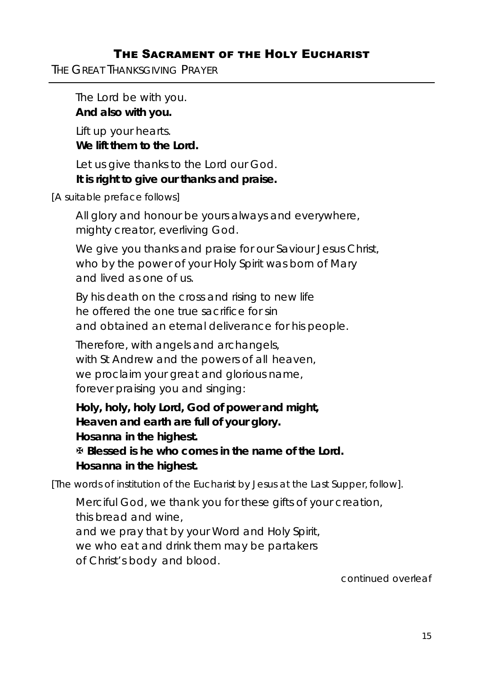## THE SACRAMENT OF THE HOLY EUCHARIST

THE GREAT THANKSGIVING PRAYER

The Lord be with you. **And also with you.** 

Lift up your hearts. **We lift them to the Lord.** 

Let us give thanks to the Lord our God. **It is right to give our thanks and praise.** 

*[A suitable preface follows]* 

All glory and honour be yours always and everywhere, mighty creator, everliving God.

We give you thanks and praise for our Saviour Jesus Christ, who by the power of your Holy Spirit was born of Mary and lived as one of us.

By his death on the cross and rising to new life he offered the one true sacrifice for sin and obtained an eternal deliverance for his people.

Therefore, with angels and archangels, with St Andrew and the powers of all heaven, we proclaim your great and glorious name, forever praising you and singing:

**Holy, holy, holy Lord, God of power and might, Heaven and earth are full of your glory. Hosanna in the highest. Blessed is he who comes in the name of the Lord. Hosanna in the highest.** 

*[The words of institution of the Eucharist by Jesus at the Last Supper, follow].*

Merciful God, we thank you for these gifts of your creation, this bread and wine, and we pray that by your Word and Holy Spirit, we who eat and drink them may be partakers of Christ's body and blood.

*continued overleaf*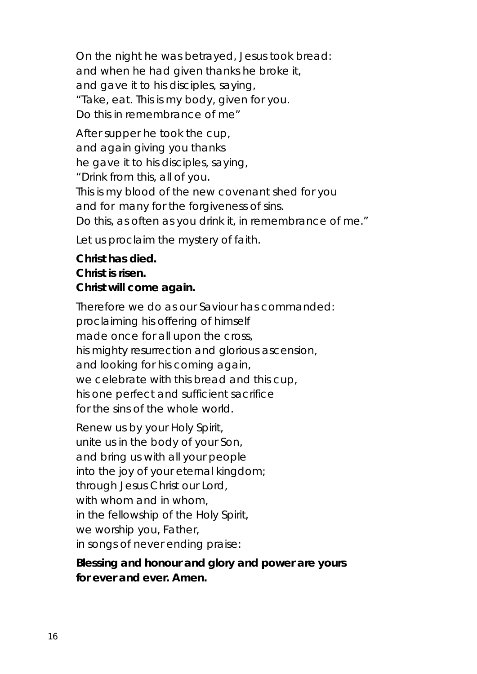On the night he was betrayed, Jesus took bread: and when he had given thanks he broke it, and gave it to his disciples, saying, "Take, eat. This is my body, given for you. Do this in remembrance of me"

After supper he took the cup, and again giving you thanks he gave it to his disciples, saying, "Drink from this, all of you. This is my blood of the new covenant shed for you and for many for the forgiveness of sins. Do this, as often as you drink it, in remembrance of me."

Let us proclaim the mystery of faith.

## **Christ has died. Christ is risen. Christ will come again.**

Therefore we do as our Saviour has commanded: proclaiming his offering of himself made once for all upon the cross, his mighty resurrection and glorious ascension, and looking for his coming again, we celebrate with this bread and this cup, his one perfect and sufficient sacrifice for the sins of the whole world.

Renew us by your Holy Spirit, unite us in the body of your Son, and bring us with all your people into the joy of your eternal kingdom; through Jesus Christ our Lord, with whom and in whom, in the fellowship of the Holy Spirit, we worship you, Father, in songs of never ending praise:

## **Blessing and honour and glory and power are yours for ever and ever. Amen.**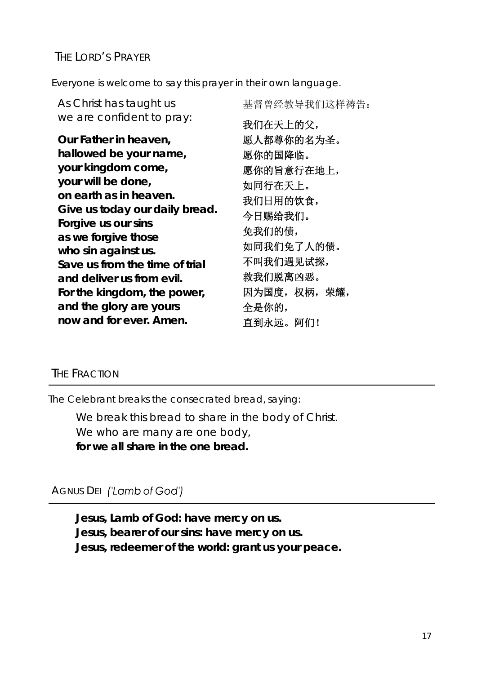#### THE LORD'S PRAYER

*Everyone is welcome to say this prayer in their own language.* 

| As Christ has taught us        | 基督曾经教导我们这样祷告: |
|--------------------------------|---------------|
| we are confident to pray:      | 我们在天上的父,      |
| Our Father in heaven,          | 愿人都尊你的名为圣。    |
| hallowed be your name,         | 愿你的国降临。       |
| your kingdom come,             | 愿你的旨意行在地上,    |
| your will be done,             | 如同行在天上。       |
| on earth as in heaven.         | 我们日用的饮食,      |
| Give us today our daily bread. | 今日赐给我们。       |
| Forgive us our sins            | 免我们的债,        |
| as we forgive those            | 如同我们免了人的债。    |
| who sin against us.            |               |
| Save us from the time of trial | 不叫我们遇见试探,     |
| and deliver us from evil.      | 救我们脱离凶恶。      |
| For the kingdom, the power,    | 因为国度,权柄,荣耀,   |
| and the glory are yours        | 全是你的,         |
| now and for ever. Amen.        | 直到永远。阿们!      |

#### **THE FRACTION**

*The Celebrant breaks the consecrated bread, saying:*

 We break this bread to share in the body of Christ. We who are many are one body, **for we all share in the one bread.** 

#### **AGNUS DEI ('Lamb of God')**

 **Jesus, Lamb of God: have mercy on us. Jesus, bearer of our sins: have mercy on us. Jesus, redeemer of the world: grant us your peace.**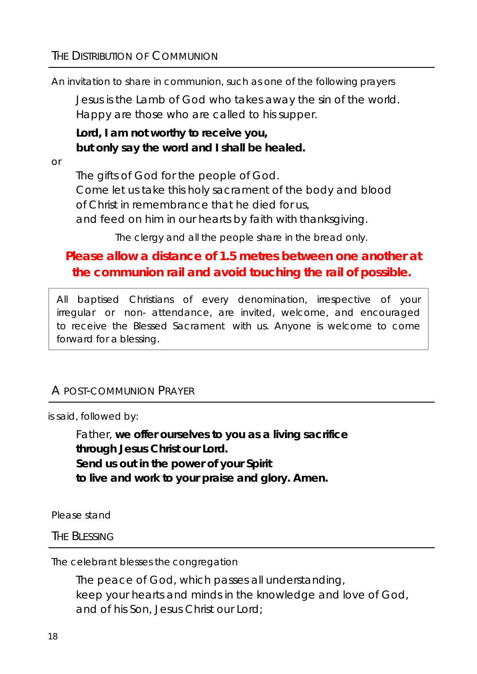*An invitation to share in communion, such as one of the following prayers* 

Jesus is the Lamb of God who takes away the sin of the world. Happy are those who are called to his supper.

**Lord, I am not worthy to receive you, but only say the word and I shall be healed.** 

*or*

The gifts of God for the people of God. Come let us take this holy sacrament of the body and blood of Christ in remembrance that he died for us, and feed on him in our hearts by faith with thanksgiving.

*The clergy and all the people share in the bread only.* 

## *Please allow a distance of 1.5 metres between one another at the communion rail and avoid touching the rail of possible.*

*All baptised Christians of every denomination, irrespective of your irregular or non- attendance, are invited, welcome, and encouraged to receive the Blessed Sacrament with us. Anyone is welcome to come forward for a blessing.* 

## A POST-COMMUNION PRAYER

*is said, followed by:* 

Father, **we offer ourselves to you as a living sacrifice through Jesus Christ our Lord. Send us out in the power of your Spirit to live and work to your praise and glory. Amen.** 

*Please stand* 

THE BLESSING

*The celebrant blesses the congregation* 

The peace of God, which passes all understanding, keep your hearts and minds in the knowledge and love of God, and of his Son, Jesus Christ our Lord;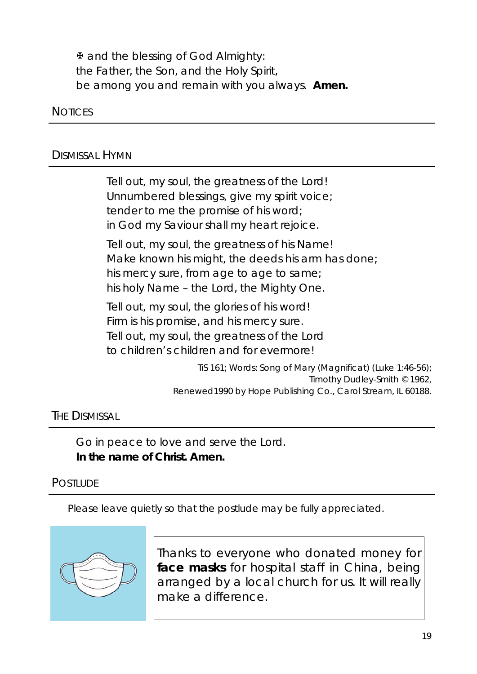and the blessing of God Almighty: the Father, the Son, and the Holy Spirit, be among you and remain with you always. **Amen.** 

#### **NOTICES**

#### DISMISSAL HYMN

Tell out, my soul, the greatness of the Lord! Unnumbered blessings, give my spirit voice; tender to me the promise of his word; in God my Saviour shall my heart rejoice.

Tell out, my soul, the greatness of his Name! Make known his might, the deeds his arm has done; his mercy sure, from age to age to same; his holy Name – the Lord, the Mighty One.

Tell out, my soul, the glories of his word! Firm is his promise, and his mercy sure. Tell out, my soul, the greatness of the Lord to children's children and for evermore!

> TiS 161; Words: Song of Mary (Magnificat) (Luke 1:46-56); Timothy Dudley-Smith © 1962, Renewed1990 by Hope Publishing Co., Carol Stream, IL 60188.

#### **THE DISMISSAL**

Go in peace to love and serve the Lord. **In the name of Christ. Amen.** 

#### **POSTLUDE**

*Please leave quietly so that the postlude may be fully appreciated.* 



Thanks to everyone who donated money for **face masks** for hospital staff in China, being arranged by a local church for us. It will really make a difference.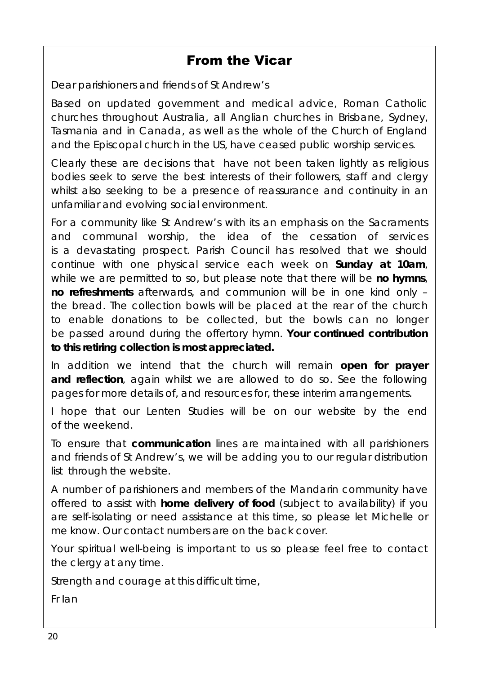## From the Vicar

Dear parishioners and friends of St Andrew's

Based on updated government and medical advice, Roman Catholic churches throughout Australia, all Anglian churches in Brisbane, Sydney, Tasmania and in Canada, as well as the whole of the Church of England and the Episcopal church in the US, have ceased public worship services.

Clearly these are decisions that have not been taken lightly as religious bodies seek to serve the best interests of their followers, staff and clergy whilst also seeking to be a presence of reassurance and continuity in an unfamiliar and evolving social environment.

For a community like St Andrew's with its an emphasis on the Sacraments and communal worship, the idea of the cessation of services is a devastating prospect. Parish Council has resolved that we should continue with one physical service each week on **Sunday at 10am**, while we are permitted to so, but please note that there will be **no hymns**, **no refreshments** afterwards, and communion will be in one kind only – the bread. The collection bowls will be placed at the rear of the church to enable donations to be collected, but the bowls can no longer be passed around during the offertory hymn. **Your continued contribution to this retiring collection is most appreciated.**

In addition we intend that the church will remain **open for prayer and reflection**, again whilst we are allowed to do so. See the following pages for more details of, and resources for, these interim arrangements.

I hope that our Lenten Studies will be on our website by the end of the weekend.

To ensure that **communication** lines are maintained with all parishioners and friends of St Andrew's, we will be adding you to our regular distribution list through the website.

A number of parishioners and members of the Mandarin community have offered to assist with **home delivery of food** (subject to availability) if you are self-isolating or need assistance at this time, so please let Michelle or me know. Our contact numbers are on the back cover.

Your spiritual well-being is important to us so please feel free to contact the clergy at any time.

Strength and courage at this difficult time,

*Fr Ian*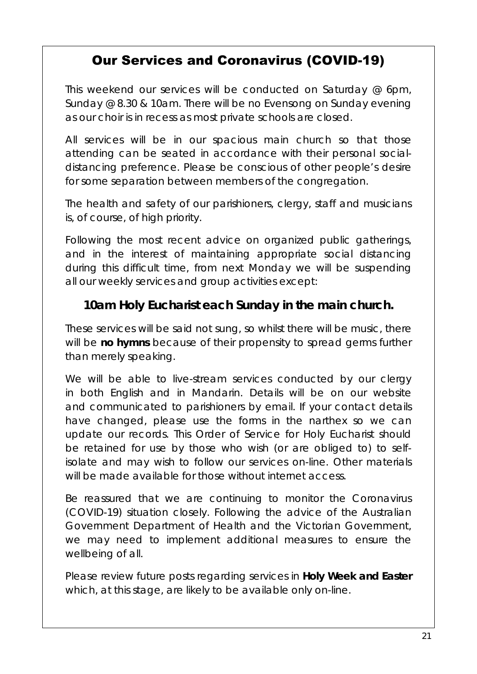## Our Services and Coronavirus (COVID-19)

This weekend our services will be conducted on Saturday @ 6pm, Sunday @ 8.30 & 10am. There will be no Evensong on Sunday evening as our choir is in recess as most private schools are closed.

All services will be in our spacious main church so that those attending can be seated in accordance with their personal socialdistancing preference. Please be conscious of other people's desire for some separation between members of the congregation.

The health and safety of our parishioners, clergy, staff and musicians is, of course, of high priority.

Following the most recent advice on organized public gatherings, and in the interest of maintaining appropriate social distancing during this difficult time, from next Monday we will be suspending all our weekly services and group activities except:

## **10am Holy Eucharist each Sunday in the main church.**

These services will be said not sung, so whilst there will be music, there will be **no hymns** because of their propensity to spread germs further than merely speaking.

We will be able to live-stream services conducted by our clergy in both English and in Mandarin. Details will be on our website and communicated to parishioners by email. If your contact details have changed, please use the forms in the narthex so we can update our records. This Order of Service for Holy Eucharist should be retained for use by those who wish (or are obliged to) to selfisolate and may wish to follow our services on-line. Other materials will be made available for those without internet access.

Be reassured that we are continuing to monitor the Coronavirus (COVID-19) situation closely. Following the advice of the Australian Government Department of Health and the Victorian Government, we may need to implement additional measures to ensure the wellbeing of all.

Please review future posts regarding services in **Holy Week and Easter**  which, at this stage, are likely to be available only on-line.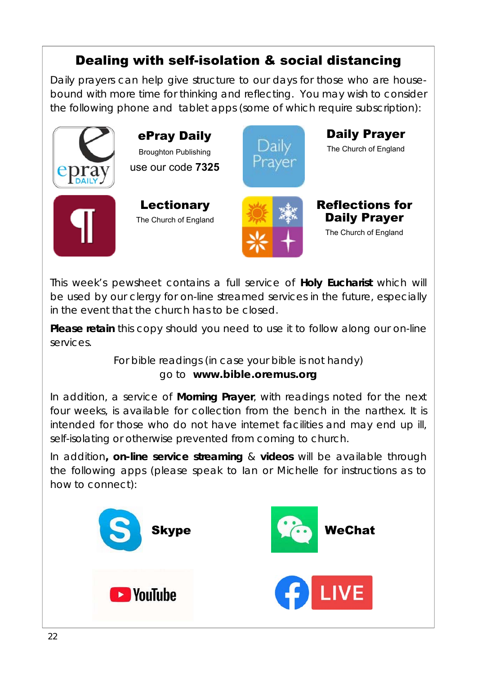# Dealing with self-isolation & social distancing

Daily prayers can help give structure to our days for those who are housebound with more time for thinking and reflecting. You may wish to consider the following phone and tablet apps (some of which require subscription):



ePray Daily

Broughton Publishing use our code **7325** 



Lectionary The Church of England



# Reflections for Daily Prayer

Daily Prayer The Church of England

The Church of England

This week's pewsheet contains a full service of **Holy Eucharist** which will be used by our clergy for on-line streamed services in the future, especially in the event that the church has to be closed.

**Please retain** this copy should you need to use it to follow along our on-line services.

> For bible readings (in case your bible is not handy) go to **www.bible.oremus.org**

In addition, a service of **Morning Prayer**, with readings noted for the next four weeks, is available for collection from the bench in the narthex. It is intended for those who do not have internet facilities and may end up ill, self-isolating or otherwise prevented from coming to church.

In addition**, on-line service streaming** & **videos** will be available through the following apps (please speak to Ian or Michelle for instructions as to how to connect):

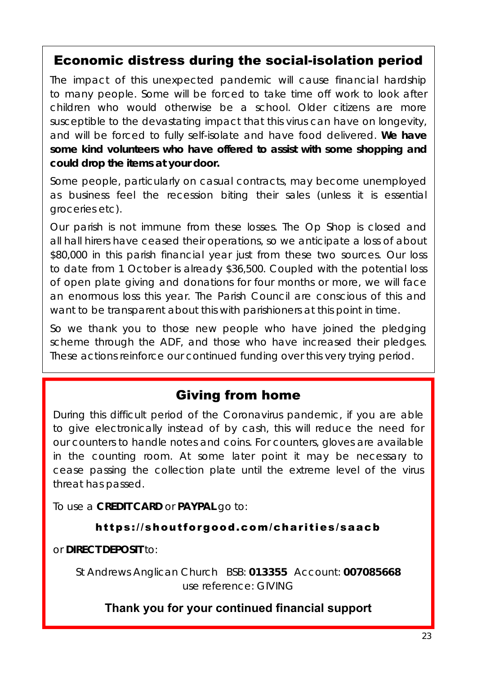## Economic distress during the social-isolation period

The impact of this unexpected pandemic will cause financial hardship to many people. Some will be forced to take time off work to look after children who would otherwise be a school. Older citizens are more susceptible to the devastating impact that this virus can have on longevity, and will be forced to fully self-isolate and have food delivered. **We have some kind volunteers who have offered to assist with some shopping and could drop the items at your door.**

Some people, particularly on casual contracts, may become unemployed as business feel the recession biting their sales (unless it is essential groceries etc).

Our parish is not immune from these losses. The Op Shop is closed and all hall hirers have ceased their operations, so we anticipate a loss of about \$80,000 in this parish financial year just from these two sources. Our loss to date from 1 October is already \$36,500. Coupled with the potential loss of open plate giving and donations for four months or more, we will face an enormous loss this year. The Parish Council are conscious of this and want to be transparent about this with parishioners at this point in time.

So we thank you to those new people who have joined the pledging scheme through the ADF, and those who have increased their pledges. These actions reinforce our continued funding over this very trying period.

## Giving from home

During this difficult period of the Coronavirus pandemic, if you are able to give electronically instead of by cash, this will reduce the need for our counters to handle notes and coins. For counters, gloves are available in the counting room. At some later point it may be necessary to cease passing the collection plate until the extreme level of the virus threat has passed.

To use a **CREDIT CARD** or **PAYPAL** go to:

#### https://shoutforgood.com/charities/saacb

or **DIRECT DEPOSIT** to:

St Andrews Anglican Church BSB: **013355** Account: **007085668**  use reference: GIVING

## **Thank you for your continued financial support**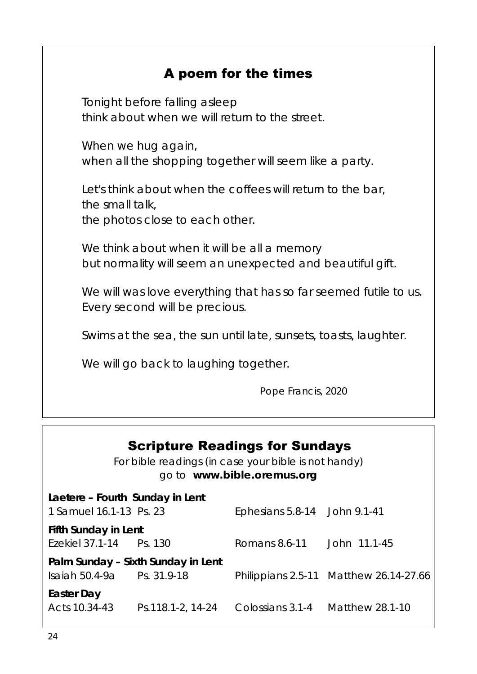## A poem for the times

Tonight before falling asleep think about when we will return to the street.

When we hug again, when all the shopping together will seem like a party.

Let's think about when the coffees will return to the bar, the small talk,

the photos close to each other.

We think about when it will be all a memory but normality will seem an unexpected and beautiful gift.

We will was love everything that has so far seemed futile to us. Every second will be precious.

Swims at the sea, the sun until late, sunsets, toasts, laughter.

We will go back to laughing together.

*Pope Francis, 2020*

## Scripture Readings for Sundays

For bible readings (in case your bible is not handy) go to **www.bible.oremus.org** 

| Laetere - Fourth Sunday in Lent<br>1 Samuel 16.1-13 Ps. 23       |                   | Ephesians 5.8-14 John 9.1-41 |                                        |
|------------------------------------------------------------------|-------------------|------------------------------|----------------------------------------|
| <b>Fifth Sunday in Lent</b><br>Ezekiel 37.1-14 Ps. 130           |                   | Romans 8.6-11 John 11.1-45   |                                        |
| Palm Sunday - Sixth Sunday in Lent<br>Isaiah 50.4-9a Ps. 31.9-18 |                   |                              | Philippians 2.5-11 Matthew 26.14-27.66 |
| <b>Easter Day</b><br>Acts 10.34-43                               | Ps.118.1-2, 14-24 | Colossians 3.1-4             | Matthew 28.1-10                        |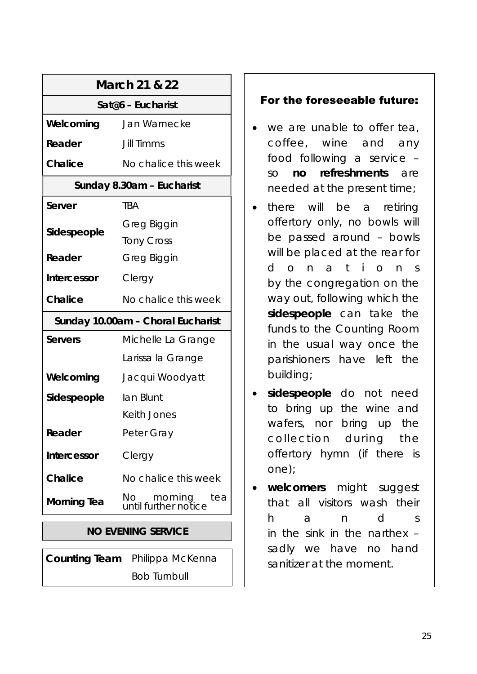| March 21 & 22                     |                                              |  |  |
|-----------------------------------|----------------------------------------------|--|--|
| Sat@6 - Eucharist                 |                                              |  |  |
| Welcoming                         | Jan Warnecke                                 |  |  |
| Reader                            | <b>Jill Timms</b>                            |  |  |
| <b>Chalice</b>                    | No chalice this week                         |  |  |
| Sunday 8.30am - Eucharist         |                                              |  |  |
| Server                            | <b>TBA</b>                                   |  |  |
| Sidespeople                       | Greg Biggin                                  |  |  |
|                                   | <b>Tony Cross</b>                            |  |  |
| Reader                            | Greg Biggin                                  |  |  |
| Intercessor                       | Clergy                                       |  |  |
| <b>Chalice</b>                    | No chalice this week                         |  |  |
| Sunday 10.00am - Choral Eucharist |                                              |  |  |
| <b>Servers</b>                    | Michelle La Grange                           |  |  |
|                                   | Larissa la Grange                            |  |  |
| Welcoming                         | Jacqui Woodyatt                              |  |  |
| Sidespeople                       | lan Blunt                                    |  |  |
|                                   | Keith Jones                                  |  |  |
| Reader                            | Peter Gray                                   |  |  |
| Intercessor                       | Clergy                                       |  |  |
| <b>Chalice</b>                    | No chalice this week                         |  |  |
| <b>Morning Tea</b>                | No<br>morning<br>tea<br>until further notice |  |  |

## **NO EVENING SERVICE**

**Counting Team** Philippa McKenna Bob Turnbull

## For the foreseeable future:

- we are unable to offer tea, coffee, wine and any food following a service – so **no refreshments** are needed at the present time;
- there will be a retiring offertory only, no bowls will be passed around – bowls will be placed at the rear for d o n a t i o n s by the congregation on the way out, following which the **sidespeople** can take the funds to the Counting Room in the usual way once the parishioners have left the building;
- sidespeople do not need to bring up the wine and wafers, nor bring up the collection during the offertory hymn (if there is one);
- **welcomers** might suggest that all visitors wash their h a n d s in the sink in the narthex – sadly we have no hand sanitizer at the moment.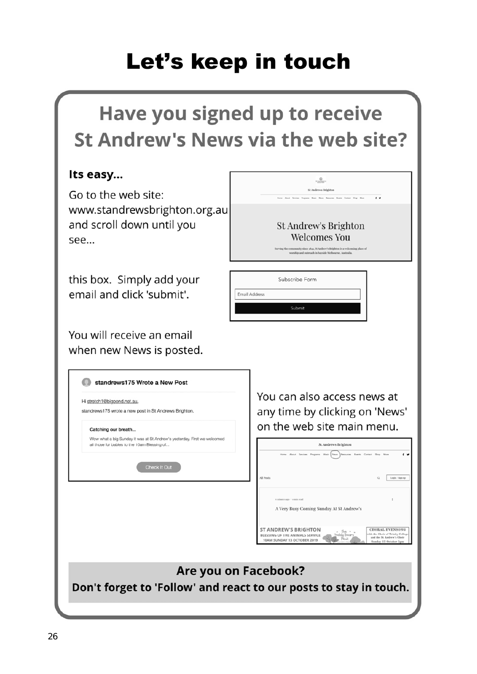# Let's keep in touch

# Have you signed up to receive St Andrew's News via the web site?

Email Address

 $\frac{Q}{m_{\rm FWHM}}$ St Andrews Brighton

**St Andrew's Brighton Welcomes You** 

nunity since 1842, St Andrew's Brighton is a<br>hip and outreach in basside Melbourne, Au

Subscribe Form

Submit

## Its easy...

Go to the web site: www.standrewsbrighton.org.au and scroll down until you see...

this box. Simply add your email and click 'submit'.

You will receive an email when new News is posted.

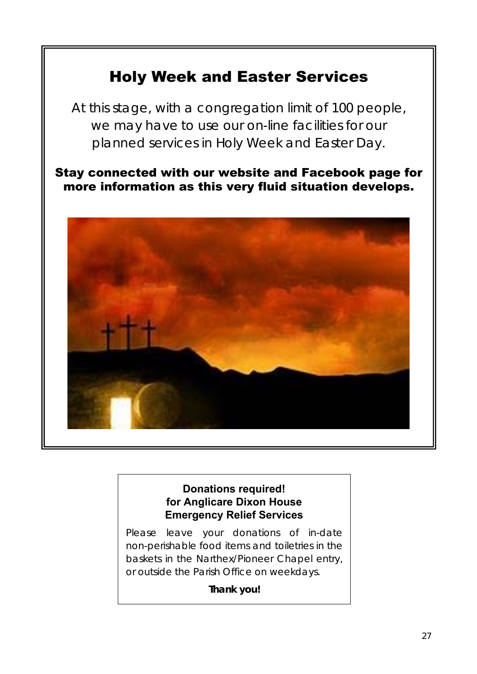# Holy Week and Easter Services

At this stage, with a congregation limit of 100 people, we may have to use our on-line facilities for our planned services in Holy Week and Easter Day.

## Stay connected with our website and Facebook page for more information as this very fluid situation develops.



#### **Donations required! for Anglicare Dixon House Emergency Relief Services**

Please leave your donations of in-date non-perishable food items and toiletries in the baskets in the Narthex/Pioneer Chapel entry, or outside the Parish Office on weekdays.

#### **Thank you!**